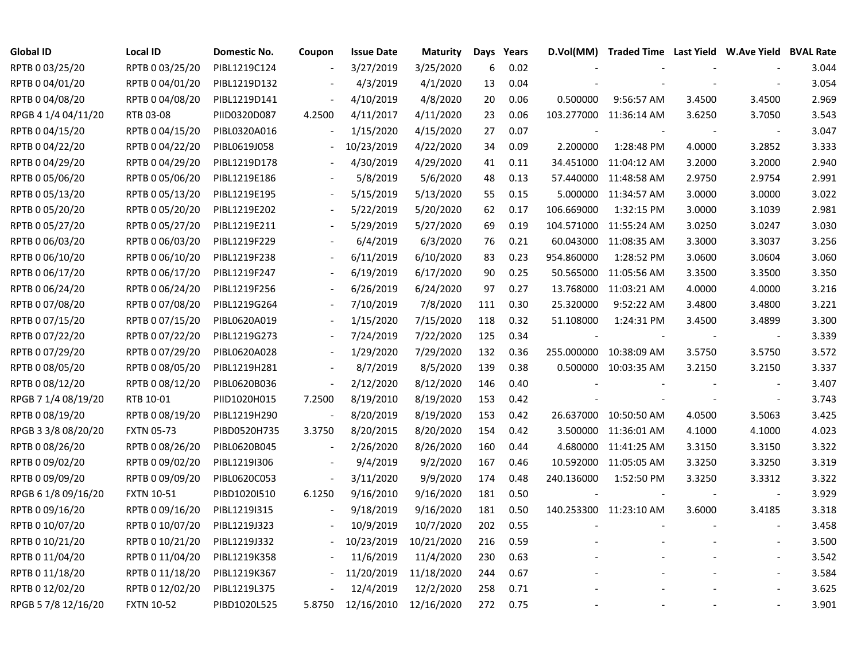| Global ID           | <b>Local ID</b>   | Domestic No. | Coupon                   | <b>Issue Date</b> | <b>Maturity</b> | Days | Years | D.Vol(MM)  |                        |        | Traded Time Last Yield W.Ave Yield BVAL Rate |       |
|---------------------|-------------------|--------------|--------------------------|-------------------|-----------------|------|-------|------------|------------------------|--------|----------------------------------------------|-------|
| RPTB 0 03/25/20     | RPTB 0 03/25/20   | PIBL1219C124 |                          | 3/27/2019         | 3/25/2020       | 6    | 0.02  |            |                        |        |                                              | 3.044 |
| RPTB 0 04/01/20     | RPTB 0 04/01/20   | PIBL1219D132 |                          | 4/3/2019          | 4/1/2020        | 13   | 0.04  |            |                        |        |                                              | 3.054 |
| RPTB 0 04/08/20     | RPTB 0 04/08/20   | PIBL1219D141 |                          | 4/10/2019         | 4/8/2020        | 20   | 0.06  | 0.500000   | 9:56:57 AM             | 3.4500 | 3.4500                                       | 2.969 |
| RPGB 4 1/4 04/11/20 | RTB 03-08         | PIID0320D087 | 4.2500                   | 4/11/2017         | 4/11/2020       | 23   | 0.06  |            | 103.277000 11:36:14 AM | 3.6250 | 3.7050                                       | 3.543 |
| RPTB 0 04/15/20     | RPTB 0 04/15/20   | PIBL0320A016 |                          | 1/15/2020         | 4/15/2020       | 27   | 0.07  |            |                        |        | $\blacksquare$                               | 3.047 |
| RPTB 0 04/22/20     | RPTB 0 04/22/20   | PIBL0619J058 | $\overline{\phantom{a}}$ | 10/23/2019        | 4/22/2020       | 34   | 0.09  | 2.200000   | 1:28:48 PM             | 4.0000 | 3.2852                                       | 3.333 |
| RPTB 0 04/29/20     | RPTB 0 04/29/20   | PIBL1219D178 |                          | 4/30/2019         | 4/29/2020       | 41   | 0.11  |            | 34.451000 11:04:12 AM  | 3.2000 | 3.2000                                       | 2.940 |
| RPTB 0 05/06/20     | RPTB 0 05/06/20   | PIBL1219E186 |                          | 5/8/2019          | 5/6/2020        | 48   | 0.13  | 57.440000  | 11:48:58 AM            | 2.9750 | 2.9754                                       | 2.991 |
| RPTB 0 05/13/20     | RPTB 0 05/13/20   | PIBL1219E195 |                          | 5/15/2019         | 5/13/2020       | 55   | 0.15  | 5.000000   | 11:34:57 AM            | 3.0000 | 3.0000                                       | 3.022 |
| RPTB 0 05/20/20     | RPTB 0 05/20/20   | PIBL1219E202 |                          | 5/22/2019         | 5/20/2020       | 62   | 0.17  | 106.669000 | 1:32:15 PM             | 3.0000 | 3.1039                                       | 2.981 |
| RPTB 0 05/27/20     | RPTB 0 05/27/20   | PIBL1219E211 |                          | 5/29/2019         | 5/27/2020       | 69   | 0.19  | 104.571000 | 11:55:24 AM            | 3.0250 | 3.0247                                       | 3.030 |
| RPTB 0 06/03/20     | RPTB 0 06/03/20   | PIBL1219F229 |                          | 6/4/2019          | 6/3/2020        | 76   | 0.21  | 60.043000  | 11:08:35 AM            | 3.3000 | 3.3037                                       | 3.256 |
| RPTB 0 06/10/20     | RPTB 0 06/10/20   | PIBL1219F238 |                          | 6/11/2019         | 6/10/2020       | 83   | 0.23  | 954.860000 | 1:28:52 PM             | 3.0600 | 3.0604                                       | 3.060 |
| RPTB 0 06/17/20     | RPTB 0 06/17/20   | PIBL1219F247 |                          | 6/19/2019         | 6/17/2020       | 90   | 0.25  | 50.565000  | 11:05:56 AM            | 3.3500 | 3.3500                                       | 3.350 |
| RPTB 0 06/24/20     | RPTB 0 06/24/20   | PIBL1219F256 |                          | 6/26/2019         | 6/24/2020       | 97   | 0.27  |            | 13.768000 11:03:21 AM  | 4.0000 | 4.0000                                       | 3.216 |
| RPTB 0 07/08/20     | RPTB 0 07/08/20   | PIBL1219G264 |                          | 7/10/2019         | 7/8/2020        | 111  | 0.30  | 25.320000  | 9:52:22 AM             | 3.4800 | 3.4800                                       | 3.221 |
| RPTB 0 07/15/20     | RPTB 0 07/15/20   | PIBL0620A019 |                          | 1/15/2020         | 7/15/2020       | 118  | 0.32  | 51.108000  | 1:24:31 PM             | 3.4500 | 3.4899                                       | 3.300 |
| RPTB 0 07/22/20     | RPTB 0 07/22/20   | PIBL1219G273 | $\overline{\phantom{a}}$ | 7/24/2019         | 7/22/2020       | 125  | 0.34  |            |                        |        | $\overline{\phantom{a}}$                     | 3.339 |
| RPTB 0 07/29/20     | RPTB 0 07/29/20   | PIBL0620A028 | $\overline{\phantom{a}}$ | 1/29/2020         | 7/29/2020       | 132  | 0.36  |            | 255.000000 10:38:09 AM | 3.5750 | 3.5750                                       | 3.572 |
| RPTB 0 08/05/20     | RPTB 0 08/05/20   | PIBL1219H281 | $\overline{\phantom{a}}$ | 8/7/2019          | 8/5/2020        | 139  | 0.38  |            | 0.500000 10:03:35 AM   | 3.2150 | 3.2150                                       | 3.337 |
| RPTB 0 08/12/20     | RPTB 0 08/12/20   | PIBL0620B036 | $\blacksquare$           | 2/12/2020         | 8/12/2020       | 146  | 0.40  |            |                        |        |                                              | 3.407 |
| RPGB 7 1/4 08/19/20 | RTB 10-01         | PIID1020H015 | 7.2500                   | 8/19/2010         | 8/19/2020       | 153  | 0.42  |            |                        |        | $\mathbb{L}$                                 | 3.743 |
| RPTB 0 08/19/20     | RPTB 0 08/19/20   | PIBL1219H290 | $\overline{\phantom{a}}$ | 8/20/2019         | 8/19/2020       | 153  | 0.42  |            | 26.637000 10:50:50 AM  | 4.0500 | 3.5063                                       | 3.425 |
| RPGB 3 3/8 08/20/20 | <b>FXTN 05-73</b> | PIBD0520H735 | 3.3750                   | 8/20/2015         | 8/20/2020       | 154  | 0.42  |            | 3.500000 11:36:01 AM   | 4.1000 | 4.1000                                       | 4.023 |
| RPTB 0 08/26/20     | RPTB 0 08/26/20   | PIBL0620B045 | $\blacksquare$           | 2/26/2020         | 8/26/2020       | 160  | 0.44  |            | 4.680000 11:41:25 AM   | 3.3150 | 3.3150                                       | 3.322 |
| RPTB 0 09/02/20     | RPTB 0 09/02/20   | PIBL1219I306 |                          | 9/4/2019          | 9/2/2020        | 167  | 0.46  |            | 10.592000 11:05:05 AM  | 3.3250 | 3.3250                                       | 3.319 |
| RPTB 0 09/09/20     | RPTB 0 09/09/20   | PIBL0620C053 | $\overline{\phantom{a}}$ | 3/11/2020         | 9/9/2020        | 174  | 0.48  | 240.136000 | 1:52:50 PM             | 3.3250 | 3.3312                                       | 3.322 |
| RPGB 6 1/8 09/16/20 | <b>FXTN 10-51</b> | PIBD1020I510 | 6.1250                   | 9/16/2010         | 9/16/2020       | 181  | 0.50  |            |                        |        |                                              | 3.929 |
| RPTB 0 09/16/20     | RPTB 0 09/16/20   | PIBL1219I315 |                          | 9/18/2019         | 9/16/2020       | 181  | 0.50  |            | 140.253300 11:23:10 AM | 3.6000 | 3.4185                                       | 3.318 |
| RPTB 0 10/07/20     | RPTB 0 10/07/20   | PIBL1219J323 |                          | 10/9/2019         | 10/7/2020       | 202  | 0.55  |            |                        |        | $\sim$                                       | 3.458 |
| RPTB 0 10/21/20     | RPTB 0 10/21/20   | PIBL1219J332 |                          | 10/23/2019        | 10/21/2020      | 216  | 0.59  |            |                        |        |                                              | 3.500 |
| RPTB 0 11/04/20     | RPTB 0 11/04/20   | PIBL1219K358 | $\overline{\phantom{a}}$ | 11/6/2019         | 11/4/2020       | 230  | 0.63  |            |                        |        | $\sim$                                       | 3.542 |
| RPTB 0 11/18/20     | RPTB 0 11/18/20   | PIBL1219K367 |                          | 11/20/2019        | 11/18/2020      | 244  | 0.67  |            |                        |        |                                              | 3.584 |
| RPTB 0 12/02/20     | RPTB 0 12/02/20   | PIBL1219L375 |                          | 12/4/2019         | 12/2/2020       | 258  | 0.71  |            |                        |        |                                              | 3.625 |
| RPGB 5 7/8 12/16/20 | <b>FXTN 10-52</b> | PIBD1020L525 | 5.8750                   | 12/16/2010        | 12/16/2020      | 272  | 0.75  |            |                        |        |                                              | 3.901 |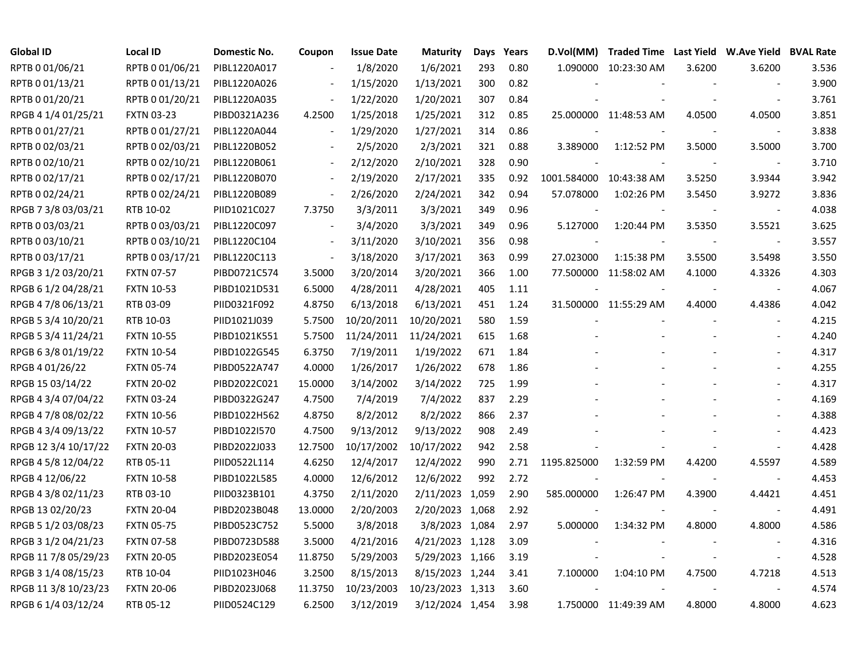| <b>Global ID</b>     | <b>Local ID</b>   | Domestic No. | Coupon                   | <b>Issue Date</b> | <b>Maturity</b>  | Days | Years | D.Vol(MM)               | Traded Time Last Yield W.Ave Yield BVAL Rate |        |                          |       |
|----------------------|-------------------|--------------|--------------------------|-------------------|------------------|------|-------|-------------------------|----------------------------------------------|--------|--------------------------|-------|
| RPTB 0 01/06/21      | RPTB 0 01/06/21   | PIBL1220A017 |                          | 1/8/2020          | 1/6/2021         | 293  | 0.80  |                         | 1.090000 10:23:30 AM                         | 3.6200 | 3.6200                   | 3.536 |
| RPTB 0 01/13/21      | RPTB 0 01/13/21   | PIBL1220A026 |                          | 1/15/2020         | 1/13/2021        | 300  | 0.82  |                         |                                              |        |                          | 3.900 |
| RPTB 0 01/20/21      | RPTB 0 01/20/21   | PIBL1220A035 | $\overline{\phantom{a}}$ | 1/22/2020         | 1/20/2021        | 307  | 0.84  |                         |                                              |        | $\overline{\phantom{a}}$ | 3.761 |
| RPGB 4 1/4 01/25/21  | <b>FXTN 03-23</b> | PIBD0321A236 | 4.2500                   | 1/25/2018         | 1/25/2021        | 312  | 0.85  |                         | 25.000000 11:48:53 AM                        | 4.0500 | 4.0500                   | 3.851 |
| RPTB 0 01/27/21      | RPTB 0 01/27/21   | PIBL1220A044 | $\blacksquare$           | 1/29/2020         | 1/27/2021        | 314  | 0.86  |                         |                                              |        | $\overline{\phantom{a}}$ | 3.838 |
| RPTB 0 02/03/21      | RPTB 0 02/03/21   | PIBL1220B052 | $\overline{\phantom{a}}$ | 2/5/2020          | 2/3/2021         | 321  | 0.88  | 3.389000                | 1:12:52 PM                                   | 3.5000 | 3.5000                   | 3.700 |
| RPTB 0 02/10/21      | RPTB 0 02/10/21   | PIBL1220B061 | $\overline{\phantom{a}}$ | 2/12/2020         | 2/10/2021        | 328  | 0.90  |                         |                                              |        |                          | 3.710 |
| RPTB 0 02/17/21      | RPTB 0 02/17/21   | PIBL1220B070 | $\blacksquare$           | 2/19/2020         | 2/17/2021        | 335  | 0.92  | 1001.584000 10:43:38 AM |                                              | 3.5250 | 3.9344                   | 3.942 |
| RPTB 0 02/24/21      | RPTB 0 02/24/21   | PIBL1220B089 | $\blacksquare$           | 2/26/2020         | 2/24/2021        | 342  | 0.94  | 57.078000               | 1:02:26 PM                                   | 3.5450 | 3.9272                   | 3.836 |
| RPGB 7 3/8 03/03/21  | RTB 10-02         | PIID1021C027 | 7.3750                   | 3/3/2011          | 3/3/2021         | 349  | 0.96  | $\blacksquare$          |                                              |        | $\overline{\phantom{a}}$ | 4.038 |
| RPTB 0 03/03/21      | RPTB 0 03/03/21   | PIBL1220C097 | $\blacksquare$           | 3/4/2020          | 3/3/2021         | 349  | 0.96  | 5.127000                | 1:20:44 PM                                   | 3.5350 | 3.5521                   | 3.625 |
| RPTB 0 03/10/21      | RPTB 0 03/10/21   | PIBL1220C104 | $\overline{\phantom{a}}$ | 3/11/2020         | 3/10/2021        | 356  | 0.98  | $\overline{a}$          |                                              |        | $\overline{\phantom{a}}$ | 3.557 |
| RPTB 0 03/17/21      | RPTB 0 03/17/21   | PIBL1220C113 | $\overline{\phantom{a}}$ | 3/18/2020         | 3/17/2021        | 363  | 0.99  | 27.023000               | 1:15:38 PM                                   | 3.5500 | 3.5498                   | 3.550 |
| RPGB 3 1/2 03/20/21  | <b>FXTN 07-57</b> | PIBD0721C574 | 3.5000                   | 3/20/2014         | 3/20/2021        | 366  | 1.00  |                         | 77.500000 11:58:02 AM                        | 4.1000 | 4.3326                   | 4.303 |
| RPGB 6 1/2 04/28/21  | <b>FXTN 10-53</b> | PIBD1021D531 | 6.5000                   | 4/28/2011         | 4/28/2021        | 405  | 1.11  |                         |                                              |        |                          | 4.067 |
| RPGB 4 7/8 06/13/21  | RTB 03-09         | PIID0321F092 | 4.8750                   | 6/13/2018         | 6/13/2021        | 451  | 1.24  |                         | 31.500000 11:55:29 AM                        | 4.4000 | 4.4386                   | 4.042 |
| RPGB 5 3/4 10/20/21  | RTB 10-03         | PIID1021J039 | 5.7500                   | 10/20/2011        | 10/20/2021       | 580  | 1.59  |                         |                                              |        |                          | 4.215 |
| RPGB 5 3/4 11/24/21  | <b>FXTN 10-55</b> | PIBD1021K551 | 5.7500                   | 11/24/2011        | 11/24/2021       | 615  | 1.68  |                         |                                              |        |                          | 4.240 |
| RPGB 6 3/8 01/19/22  | <b>FXTN 10-54</b> | PIBD1022G545 | 6.3750                   | 7/19/2011         | 1/19/2022        | 671  | 1.84  |                         |                                              |        |                          | 4.317 |
| RPGB 4 01/26/22      | <b>FXTN 05-74</b> | PIBD0522A747 | 4.0000                   | 1/26/2017         | 1/26/2022        | 678  | 1.86  |                         |                                              |        |                          | 4.255 |
| RPGB 15 03/14/22     | <b>FXTN 20-02</b> | PIBD2022C021 | 15.0000                  | 3/14/2002         | 3/14/2022        | 725  | 1.99  |                         |                                              |        |                          | 4.317 |
| RPGB 4 3/4 07/04/22  | <b>FXTN 03-24</b> | PIBD0322G247 | 4.7500                   | 7/4/2019          | 7/4/2022         | 837  | 2.29  |                         |                                              |        |                          | 4.169 |
| RPGB 4 7/8 08/02/22  | <b>FXTN 10-56</b> | PIBD1022H562 | 4.8750                   | 8/2/2012          | 8/2/2022         | 866  | 2.37  |                         |                                              |        |                          | 4.388 |
| RPGB 4 3/4 09/13/22  | <b>FXTN 10-57</b> | PIBD1022I570 | 4.7500                   | 9/13/2012         | 9/13/2022        | 908  | 2.49  |                         |                                              |        |                          | 4.423 |
| RPGB 12 3/4 10/17/22 | <b>FXTN 20-03</b> | PIBD2022J033 | 12.7500                  | 10/17/2002        | 10/17/2022       | 942  | 2.58  |                         |                                              |        | $\blacksquare$           | 4.428 |
| RPGB 4 5/8 12/04/22  | RTB 05-11         | PIID0522L114 | 4.6250                   | 12/4/2017         | 12/4/2022        | 990  | 2.71  | 1195.825000             | 1:32:59 PM                                   | 4.4200 | 4.5597                   | 4.589 |
| RPGB 4 12/06/22      | <b>FXTN 10-58</b> | PIBD1022L585 | 4.0000                   | 12/6/2012         | 12/6/2022        | 992  | 2.72  |                         |                                              |        | $\overline{\phantom{a}}$ | 4.453 |
| RPGB 4 3/8 02/11/23  | RTB 03-10         | PIID0323B101 | 4.3750                   | 2/11/2020         | 2/11/2023 1,059  |      | 2.90  | 585.000000              | 1:26:47 PM                                   | 4.3900 | 4.4421                   | 4.451 |
| RPGB 13 02/20/23     | <b>FXTN 20-04</b> | PIBD2023B048 | 13.0000                  | 2/20/2003         | 2/20/2023 1,068  |      | 2.92  |                         |                                              |        |                          | 4.491 |
| RPGB 5 1/2 03/08/23  | <b>FXTN 05-75</b> | PIBD0523C752 | 5.5000                   | 3/8/2018          | 3/8/2023 1,084   |      | 2.97  | 5.000000                | 1:34:32 PM                                   | 4.8000 | 4.8000                   | 4.586 |
| RPGB 3 1/2 04/21/23  | <b>FXTN 07-58</b> | PIBD0723D588 | 3.5000                   | 4/21/2016         | 4/21/2023 1,128  |      | 3.09  |                         |                                              |        |                          | 4.316 |
| RPGB 11 7/8 05/29/23 | <b>FXTN 20-05</b> | PIBD2023E054 | 11.8750                  | 5/29/2003         | 5/29/2023 1,166  |      | 3.19  |                         |                                              |        | $\blacksquare$           | 4.528 |
| RPGB 3 1/4 08/15/23  | RTB 10-04         | PIID1023H046 | 3.2500                   | 8/15/2013         | 8/15/2023 1,244  |      | 3.41  | 7.100000                | 1:04:10 PM                                   | 4.7500 | 4.7218                   | 4.513 |
| RPGB 11 3/8 10/23/23 | <b>FXTN 20-06</b> | PIBD2023J068 | 11.3750                  | 10/23/2003        | 10/23/2023 1,313 |      | 3.60  |                         |                                              |        |                          | 4.574 |
| RPGB 6 1/4 03/12/24  | RTB 05-12         | PIID0524C129 | 6.2500                   | 3/12/2019         | 3/12/2024 1,454  |      | 3.98  |                         | 1.750000 11:49:39 AM                         | 4.8000 | 4.8000                   | 4.623 |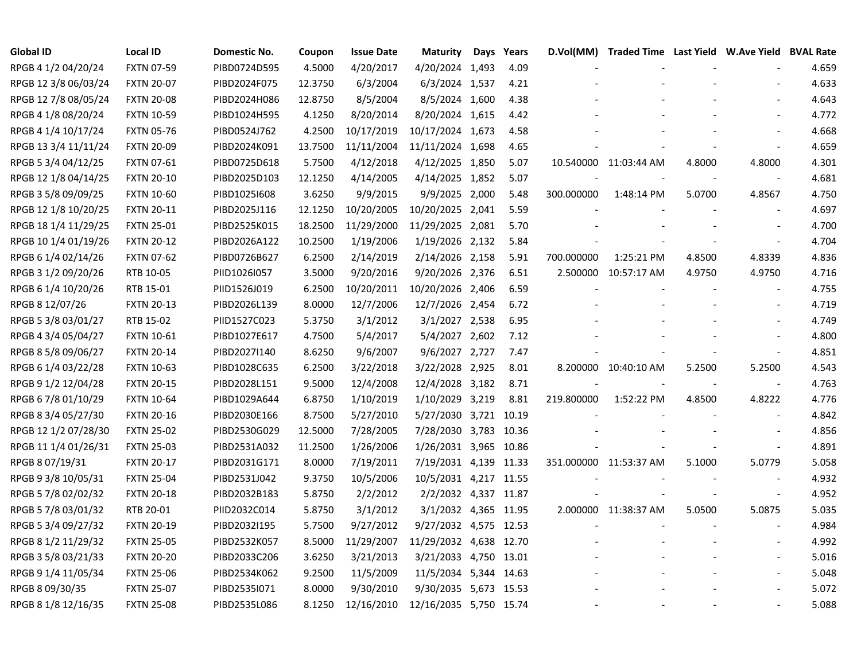| <b>Global ID</b>     | <b>Local ID</b>   | Domestic No. | Coupon  | <b>Issue Date</b> | <b>Maturity</b>        | Days | Years | D.Vol(MM)  |                        |        | Traded Time Last Yield W.Ave Yield BVAL Rate |       |
|----------------------|-------------------|--------------|---------|-------------------|------------------------|------|-------|------------|------------------------|--------|----------------------------------------------|-------|
| RPGB 4 1/2 04/20/24  | <b>FXTN 07-59</b> | PIBD0724D595 | 4.5000  | 4/20/2017         | 4/20/2024 1,493        |      | 4.09  |            |                        |        |                                              | 4.659 |
| RPGB 12 3/8 06/03/24 | <b>FXTN 20-07</b> | PIBD2024F075 | 12.3750 | 6/3/2004          | 6/3/2024 1,537         |      | 4.21  |            |                        |        |                                              | 4.633 |
| RPGB 12 7/8 08/05/24 | <b>FXTN 20-08</b> | PIBD2024H086 | 12.8750 | 8/5/2004          | 8/5/2024 1,600         |      | 4.38  |            |                        |        |                                              | 4.643 |
| RPGB 4 1/8 08/20/24  | <b>FXTN 10-59</b> | PIBD1024H595 | 4.1250  | 8/20/2014         | 8/20/2024 1,615        |      | 4.42  |            |                        |        |                                              | 4.772 |
| RPGB 4 1/4 10/17/24  | <b>FXTN 05-76</b> | PIBD0524J762 | 4.2500  | 10/17/2019        | 10/17/2024 1,673       |      | 4.58  |            |                        |        |                                              | 4.668 |
| RPGB 13 3/4 11/11/24 | <b>FXTN 20-09</b> | PIBD2024K091 | 13.7500 | 11/11/2004        | 11/11/2024 1,698       |      | 4.65  |            |                        |        |                                              | 4.659 |
| RPGB 5 3/4 04/12/25  | FXTN 07-61        | PIBD0725D618 | 5.7500  | 4/12/2018         | 4/12/2025 1,850        |      | 5.07  |            | 10.540000 11:03:44 AM  | 4.8000 | 4.8000                                       | 4.301 |
| RPGB 12 1/8 04/14/25 | <b>FXTN 20-10</b> | PIBD2025D103 | 12.1250 | 4/14/2005         | 4/14/2025 1,852        |      | 5.07  |            |                        |        | $\overline{\phantom{a}}$                     | 4.681 |
| RPGB 3 5/8 09/09/25  | <b>FXTN 10-60</b> | PIBD1025I608 | 3.6250  | 9/9/2015          | 9/9/2025 2,000         |      | 5.48  | 300.000000 | 1:48:14 PM             | 5.0700 | 4.8567                                       | 4.750 |
| RPGB 12 1/8 10/20/25 | <b>FXTN 20-11</b> | PIBD2025J116 | 12.1250 | 10/20/2005        | 10/20/2025 2,041       |      | 5.59  |            |                        |        | $\overline{\phantom{a}}$                     | 4.697 |
| RPGB 18 1/4 11/29/25 | <b>FXTN 25-01</b> | PIBD2525K015 | 18.2500 | 11/29/2000        | 11/29/2025 2,081       |      | 5.70  |            |                        |        | $\blacksquare$                               | 4.700 |
| RPGB 10 1/4 01/19/26 | <b>FXTN 20-12</b> | PIBD2026A122 | 10.2500 | 1/19/2006         | 1/19/2026 2,132        |      | 5.84  |            |                        |        | $\overline{\phantom{a}}$                     | 4.704 |
| RPGB 6 1/4 02/14/26  | <b>FXTN 07-62</b> | PIBD0726B627 | 6.2500  | 2/14/2019         | 2/14/2026 2,158        |      | 5.91  | 700.000000 | 1:25:21 PM             | 4.8500 | 4.8339                                       | 4.836 |
| RPGB 3 1/2 09/20/26  | RTB 10-05         | PIID1026I057 | 3.5000  | 9/20/2016         | 9/20/2026 2,376        |      | 6.51  |            | 2.500000 10:57:17 AM   | 4.9750 | 4.9750                                       | 4.716 |
| RPGB 6 1/4 10/20/26  | RTB 15-01         | PIID1526J019 | 6.2500  | 10/20/2011        | 10/20/2026 2,406       |      | 6.59  |            |                        |        |                                              | 4.755 |
| RPGB 8 12/07/26      | <b>FXTN 20-13</b> | PIBD2026L139 | 8.0000  | 12/7/2006         | 12/7/2026 2,454        |      | 6.72  |            |                        |        |                                              | 4.719 |
| RPGB 5 3/8 03/01/27  | RTB 15-02         | PIID1527C023 | 5.3750  | 3/1/2012          | 3/1/2027 2,538         |      | 6.95  |            |                        |        |                                              | 4.749 |
| RPGB 4 3/4 05/04/27  | <b>FXTN 10-61</b> | PIBD1027E617 | 4.7500  | 5/4/2017          | 5/4/2027 2,602         |      | 7.12  |            |                        |        |                                              | 4.800 |
| RPGB 8 5/8 09/06/27  | <b>FXTN 20-14</b> | PIBD2027I140 | 8.6250  | 9/6/2007          | 9/6/2027 2,727         |      | 7.47  |            |                        |        | $\overline{\phantom{a}}$                     | 4.851 |
| RPGB 6 1/4 03/22/28  | <b>FXTN 10-63</b> | PIBD1028C635 | 6.2500  | 3/22/2018         | 3/22/2028 2,925        |      | 8.01  |            | 8.200000 10:40:10 AM   | 5.2500 | 5.2500                                       | 4.543 |
| RPGB 9 1/2 12/04/28  | <b>FXTN 20-15</b> | PIBD2028L151 | 9.5000  | 12/4/2008         | 12/4/2028 3,182        |      | 8.71  |            |                        |        | $\blacksquare$                               | 4.763 |
| RPGB 6 7/8 01/10/29  | <b>FXTN 10-64</b> | PIBD1029A644 | 6.8750  | 1/10/2019         | 1/10/2029 3,219        |      | 8.81  | 219.800000 | 1:52:22 PM             | 4.8500 | 4.8222                                       | 4.776 |
| RPGB 8 3/4 05/27/30  | <b>FXTN 20-16</b> | PIBD2030E166 | 8.7500  | 5/27/2010         | 5/27/2030 3,721 10.19  |      |       |            |                        |        | $\overline{\phantom{a}}$                     | 4.842 |
| RPGB 12 1/2 07/28/30 | <b>FXTN 25-02</b> | PIBD2530G029 | 12.5000 | 7/28/2005         | 7/28/2030 3,783 10.36  |      |       |            |                        |        | $\blacksquare$                               | 4.856 |
| RPGB 11 1/4 01/26/31 | <b>FXTN 25-03</b> | PIBD2531A032 | 11.2500 | 1/26/2006         | 1/26/2031 3,965 10.86  |      |       |            |                        |        | $\blacksquare$                               | 4.891 |
| RPGB 8 07/19/31      | <b>FXTN 20-17</b> | PIBD2031G171 | 8.0000  | 7/19/2011         | 7/19/2031 4,139 11.33  |      |       |            | 351.000000 11:53:37 AM | 5.1000 | 5.0779                                       | 5.058 |
| RPGB 9 3/8 10/05/31  | <b>FXTN 25-04</b> | PIBD2531J042 | 9.3750  | 10/5/2006         | 10/5/2031 4,217 11.55  |      |       |            |                        |        |                                              | 4.932 |
| RPGB 5 7/8 02/02/32  | <b>FXTN 20-18</b> | PIBD2032B183 | 5.8750  | 2/2/2012          | 2/2/2032 4,337 11.87   |      |       |            |                        |        |                                              | 4.952 |
| RPGB 5 7/8 03/01/32  | RTB 20-01         | PIID2032C014 | 5.8750  | 3/1/2012          | 3/1/2032 4,365 11.95   |      |       |            | 2.000000 11:38:37 AM   | 5.0500 | 5.0875                                       | 5.035 |
| RPGB 5 3/4 09/27/32  | <b>FXTN 20-19</b> | PIBD2032I195 | 5.7500  | 9/27/2012         | 9/27/2032 4,575 12.53  |      |       |            |                        |        | $\blacksquare$                               | 4.984 |
| RPGB 8 1/2 11/29/32  | <b>FXTN 25-05</b> | PIBD2532K057 | 8.5000  | 11/29/2007        | 11/29/2032 4,638 12.70 |      |       |            |                        |        |                                              | 4.992 |
| RPGB 3 5/8 03/21/33  | <b>FXTN 20-20</b> | PIBD2033C206 | 3.6250  | 3/21/2013         | 3/21/2033 4,750 13.01  |      |       |            |                        |        | $\overline{\phantom{a}}$                     | 5.016 |
| RPGB 9 1/4 11/05/34  | <b>FXTN 25-06</b> | PIBD2534K062 | 9.2500  | 11/5/2009         | 11/5/2034 5,344 14.63  |      |       |            |                        |        |                                              | 5.048 |
| RPGB 8 09/30/35      | <b>FXTN 25-07</b> | PIBD2535I071 | 8.0000  | 9/30/2010         | 9/30/2035 5,673 15.53  |      |       |            |                        |        |                                              | 5.072 |
| RPGB 8 1/8 12/16/35  | <b>FXTN 25-08</b> | PIBD2535L086 | 8.1250  | 12/16/2010        | 12/16/2035 5,750 15.74 |      |       |            |                        |        |                                              | 5.088 |